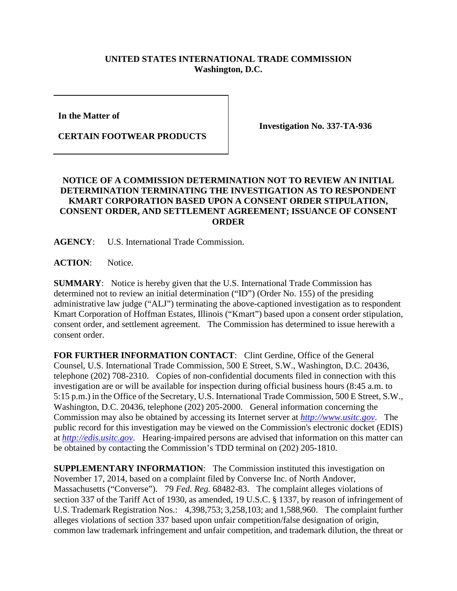## **UNITED STATES INTERNATIONAL TRADE COMMISSION Washington, D.C.**

**In the Matter of**

**CERTAIN FOOTWEAR PRODUCTS**

**Investigation No. 337-TA-936**

## **NOTICE OF A COMMISSION DETERMINATION NOT TO REVIEW AN INITIAL DETERMINATION TERMINATING THE INVESTIGATION AS TO RESPONDENT KMART CORPORATION BASED UPON A CONSENT ORDER STIPULATION, CONSENT ORDER, AND SETTLEMENT AGREEMENT; ISSUANCE OF CONSENT ORDER**

**AGENCY**: U.S. International Trade Commission.

**ACTION**: Notice.

**SUMMARY**: Notice is hereby given that the U.S. International Trade Commission has determined not to review an initial determination ("ID") (Order No. 155) of the presiding administrative law judge ("ALJ") terminating the above-captioned investigation as to respondent Kmart Corporation of Hoffman Estates, Illinois ("Kmart") based upon a consent order stipulation, consent order, and settlement agreement. The Commission has determined to issue herewith a consent order.

**FOR FURTHER INFORMATION CONTACT**: Clint Gerdine, Office of the General Counsel, U.S. International Trade Commission, 500 E Street, S.W., Washington, D.C. 20436, telephone (202) 708-2310. Copies of non-confidential documents filed in connection with this investigation are or will be available for inspection during official business hours (8:45 a.m. to 5:15 p.m.) in the Office of the Secretary, U.S. International Trade Commission, 500 E Street, S.W., Washington, D.C. 20436, telephone (202) 205-2000. General information concerning the Commission may also be obtained by accessing its Internet server at *[http://www.usitc.gov](http://www.usitc.gov/)*. The public record for this investigation may be viewed on the Commission's electronic docket (EDIS) at *[http://edis.usitc.gov](http://edis.usitc.gov/)*. Hearing-impaired persons are advised that information on this matter can be obtained by contacting the Commission's TDD terminal on (202) 205-1810.

**SUPPLEMENTARY INFORMATION**: The Commission instituted this investigation on November 17, 2014, based on a complaint filed by Converse Inc. of North Andover, Massachusetts ("Converse"). 79 *Fed. Reg.* 68482-83. The complaint alleges violations of section 337 of the Tariff Act of 1930, as amended, 19 U.S.C. § 1337, by reason of infringement of U.S. Trademark Registration Nos.: 4,398,753; 3,258,103; and 1,588,960. The complaint further alleges violations of section 337 based upon unfair competition/false designation of origin, common law trademark infringement and unfair competition, and trademark dilution, the threat or